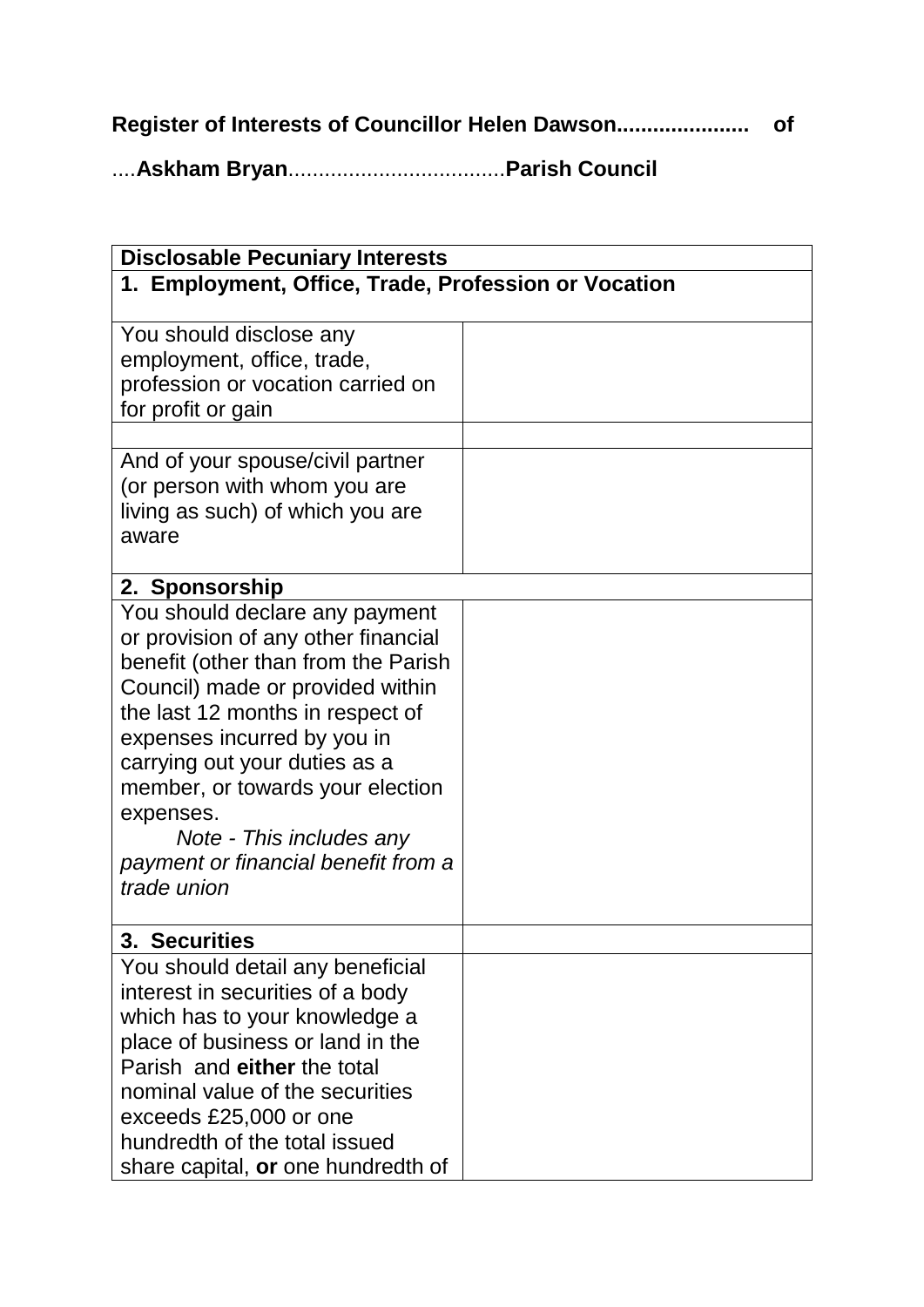**Register of Interests of Councillor Helen Dawson...................... of**

....**Askham Bryan**....................................**Parish Council**

| <b>Disclosable Pecuniary Interests</b>                                                                                                                                                                                                                                                                                                                                                  |  |  |
|-----------------------------------------------------------------------------------------------------------------------------------------------------------------------------------------------------------------------------------------------------------------------------------------------------------------------------------------------------------------------------------------|--|--|
| 1. Employment, Office, Trade, Profession or Vocation                                                                                                                                                                                                                                                                                                                                    |  |  |
| You should disclose any<br>employment, office, trade,<br>profession or vocation carried on<br>for profit or gain                                                                                                                                                                                                                                                                        |  |  |
| And of your spouse/civil partner<br>(or person with whom you are<br>living as such) of which you are<br>aware                                                                                                                                                                                                                                                                           |  |  |
| 2. Sponsorship                                                                                                                                                                                                                                                                                                                                                                          |  |  |
| You should declare any payment<br>or provision of any other financial<br>benefit (other than from the Parish<br>Council) made or provided within<br>the last 12 months in respect of<br>expenses incurred by you in<br>carrying out your duties as a<br>member, or towards your election<br>expenses.<br>Note - This includes any<br>payment or financial benefit from a<br>trade union |  |  |
| 3. Securities                                                                                                                                                                                                                                                                                                                                                                           |  |  |
| You should detail any beneficial<br>interest in securities of a body<br>which has to your knowledge a<br>place of business or land in the<br>Parish and either the total<br>nominal value of the securities<br>exceeds £25,000 or one<br>hundredth of the total issued<br>share capital, or one hundredth of                                                                            |  |  |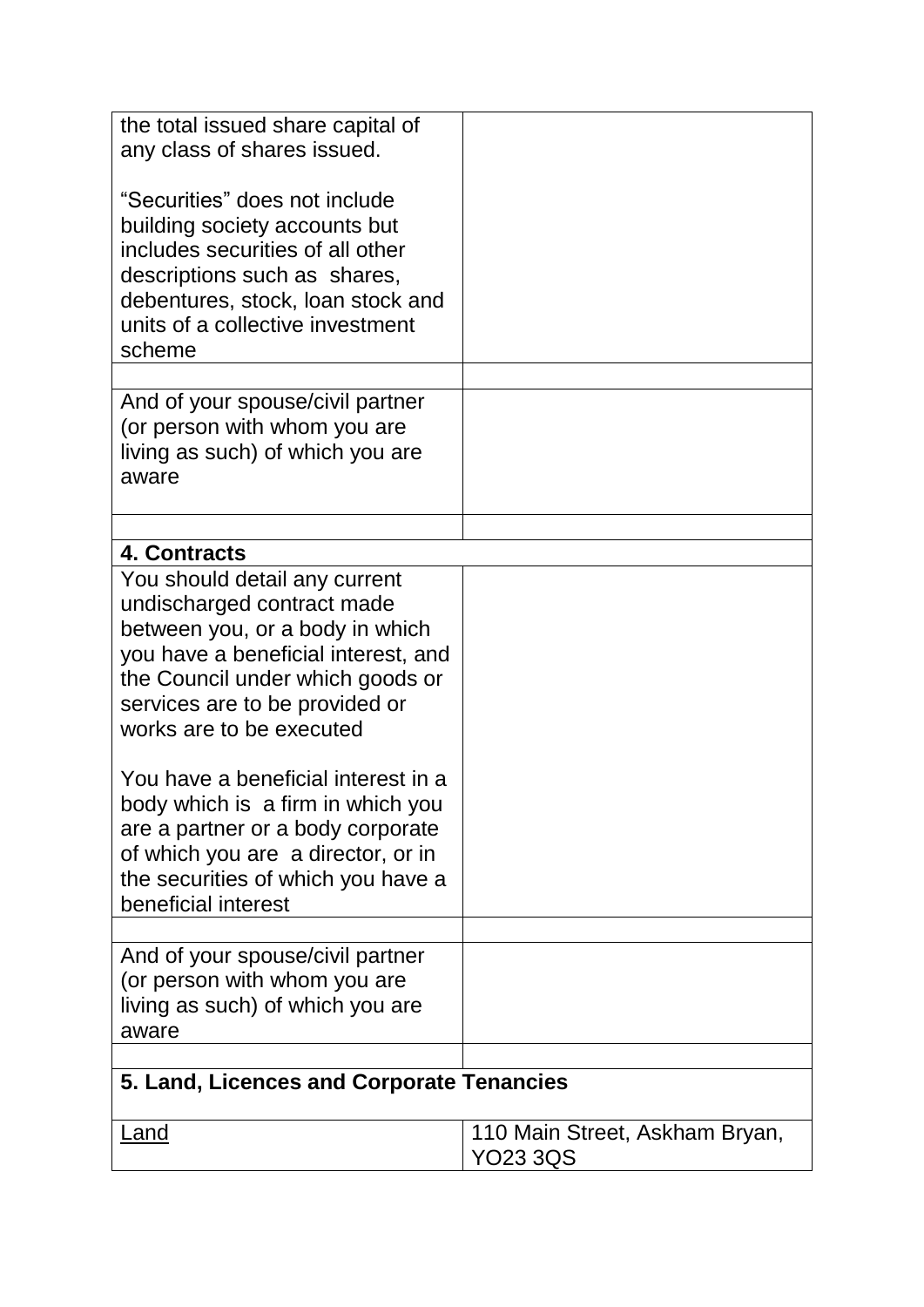| the total issued share capital of<br>any class of shares issued.                                                                                                                                                                        |                                                   |  |
|-----------------------------------------------------------------------------------------------------------------------------------------------------------------------------------------------------------------------------------------|---------------------------------------------------|--|
| "Securities" does not include<br>building society accounts but<br>includes securities of all other<br>descriptions such as shares,<br>debentures, stock, loan stock and<br>units of a collective investment<br>scheme                   |                                                   |  |
| And of your spouse/civil partner<br>(or person with whom you are<br>living as such) of which you are<br>aware                                                                                                                           |                                                   |  |
|                                                                                                                                                                                                                                         |                                                   |  |
| 4. Contracts                                                                                                                                                                                                                            |                                                   |  |
| You should detail any current<br>undischarged contract made<br>between you, or a body in which<br>you have a beneficial interest, and<br>the Council under which goods or<br>services are to be provided or<br>works are to be executed |                                                   |  |
| You have a beneficial interest in a<br>body which is a firm in which you<br>are a partner or a body corporate<br>of which you are a director, or in<br>the securities of which you have a<br>beneficial interest                        |                                                   |  |
| And of your spouse/civil partner<br>(or person with whom you are<br>living as such) of which you are<br>aware                                                                                                                           |                                                   |  |
| 5. Land, Licences and Corporate Tenancies                                                                                                                                                                                               |                                                   |  |
|                                                                                                                                                                                                                                         |                                                   |  |
| <u>Land</u>                                                                                                                                                                                                                             | 110 Main Street, Askham Bryan,<br><b>YO23 3QS</b> |  |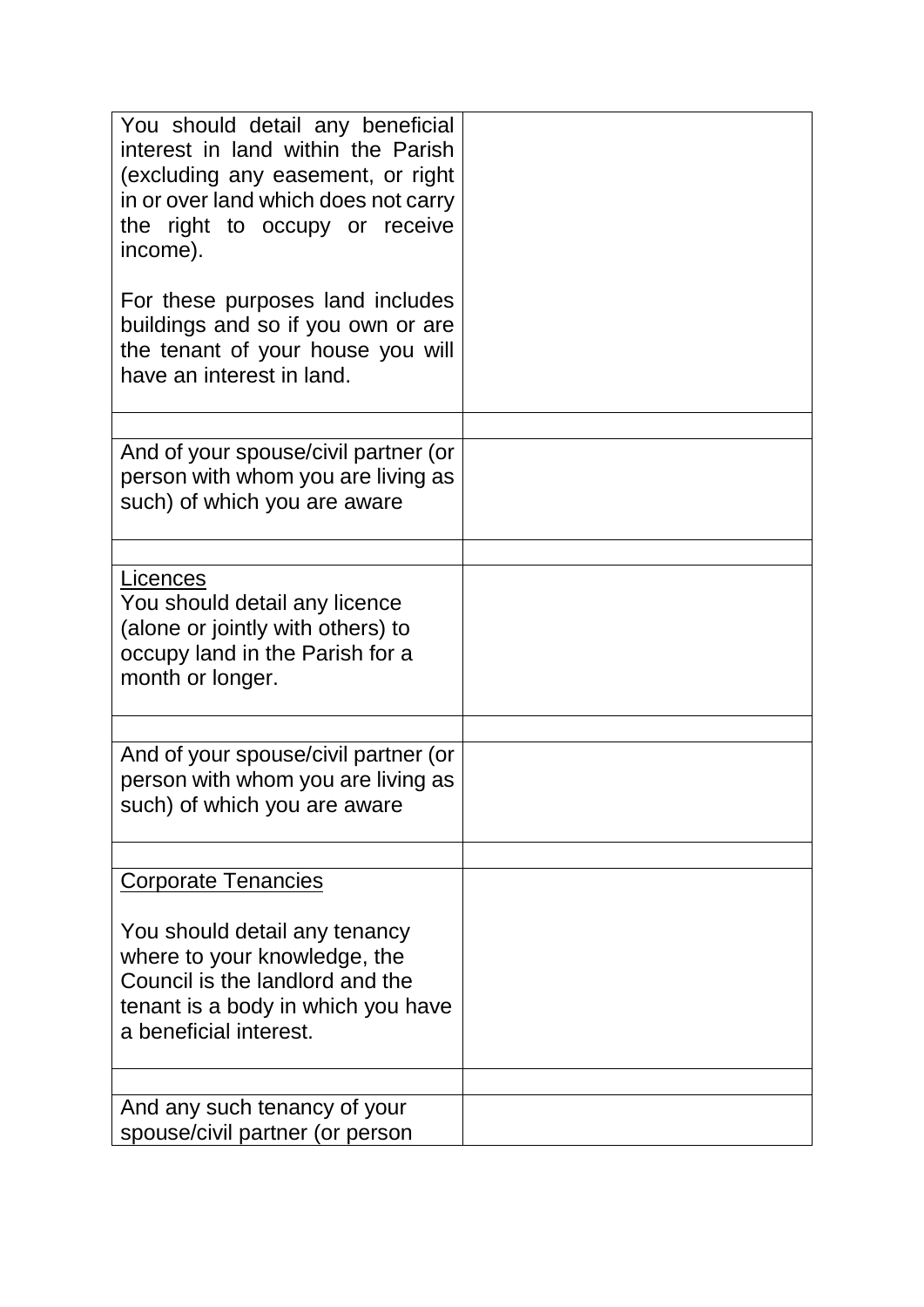| You should detail any beneficial<br>interest in land within the Parish<br>(excluding any easement, or right<br>in or over land which does not carry<br>the right to occupy or receive<br>income).<br>For these purposes land includes<br>buildings and so if you own or are<br>the tenant of your house you will<br>have an interest in land. |  |
|-----------------------------------------------------------------------------------------------------------------------------------------------------------------------------------------------------------------------------------------------------------------------------------------------------------------------------------------------|--|
|                                                                                                                                                                                                                                                                                                                                               |  |
| And of your spouse/civil partner (or<br>person with whom you are living as<br>such) of which you are aware                                                                                                                                                                                                                                    |  |
|                                                                                                                                                                                                                                                                                                                                               |  |
| Licences<br>You should detail any licence<br>(alone or jointly with others) to<br>occupy land in the Parish for a<br>month or longer.                                                                                                                                                                                                         |  |
|                                                                                                                                                                                                                                                                                                                                               |  |
| And of your spouse/civil partner (or<br>person with whom you are living as<br>such) of which you are aware                                                                                                                                                                                                                                    |  |
| <b>Corporate Tenancies</b>                                                                                                                                                                                                                                                                                                                    |  |
|                                                                                                                                                                                                                                                                                                                                               |  |
| You should detail any tenancy<br>where to your knowledge, the<br>Council is the landlord and the<br>tenant is a body in which you have<br>a beneficial interest.                                                                                                                                                                              |  |
|                                                                                                                                                                                                                                                                                                                                               |  |
| And any such tenancy of your<br>spouse/civil partner (or person                                                                                                                                                                                                                                                                               |  |